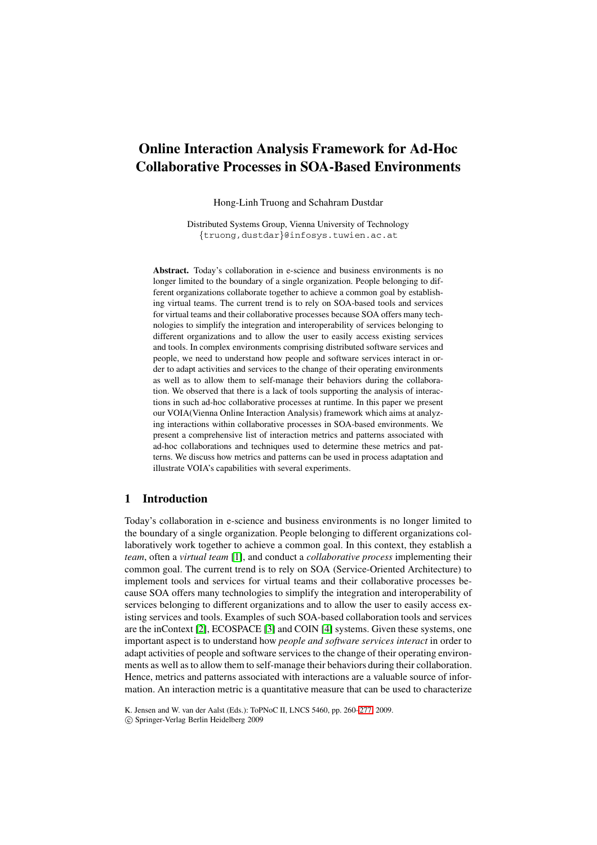# **Online Interaction Analysis Framework for Ad-Hoc Collaborative Processes in SOA-Based Environments**

Hong-Linh Truong and Schahram Dustdar

Distributed Systems Group, Vienna University of Technology {truong,dustdar}@infosys.tuwien.ac.at

**Abstract.** Today's collaboration in e-science and business environments is no longer limited to the boundary of a single organization. People belonging to different organizations collaborate together to achieve a common goal by establishing virtual teams. The current trend is to rely on SOA-based tools and services for virtual teams and their collaborative processes because SOA offers many technologies to simplify the integration and interoperability of services belonging to different organizations and to allow the user to easily access existing services and tools. In complex environments comprising distributed software services and people, we need to understand how people and software services interact in order to adapt activities and services to the change of their operating environments as well as to allow them to self-manage their behaviors during the collaboration. We observed that there is a lack of tools supporting the analysis of interactions in such ad-hoc collaborative processes at runtime. In this paper we present our VOIA(Vienna Online Interaction Analysis) framework which aims at analyzing interactions within collaborative processes in SOA-based environments. We present a comprehensive list of interaction metrics and patterns associated with ad-hoc collaborations and techniques used to determine these metrics and patterns. We discuss how metrics and patterns can be used in process adaptation and illustrate VOIA's capabilities with several experiments.

# **1 Introduction**

Today's collaboration in e-science and business environments is no longer limited to the boundary of a single organization. People belonging to different organizations collaboratively work together to achieve a common goal. In this context, they establish a *team*, often a *virtual team* [1], and conduct a *collaborative process* implementing their common goal. The current trend is to rely on SOA (Service-Oriented Architecture) to implement tools and services for virtual teams and their collaborative processes because SOA offers many technologies to simplify the integration and interoperability of services belonging to diffe[ren](#page-16-0)t organizations and to allow the user to easily access existing services and tools. Examples of such SOA-based collaboration tools and services are the inContext [2], ECOSPACE [3] and COIN [4] systems. Given these systems, one important aspect is to understand how *people and software services interact* in order to adapt activities of people and software services to the change of their operating environments as well as to allow them to self-manage their behaviors during their collaboration. Hence, metrics an[d p](#page-16-1)atterns associ[ate](#page-16-2)d with inter[act](#page-17-0)ions are a valuable source of information. An interaction metric is a quantitative measure that can be used to characterize

K. Jensen and W. van der Aalst (Eds.): ToPNoC II, LNCS 5460, pp. 260–277, 2009.

<sup>-</sup>c Springer-Verlag Berlin Heidelberg 2009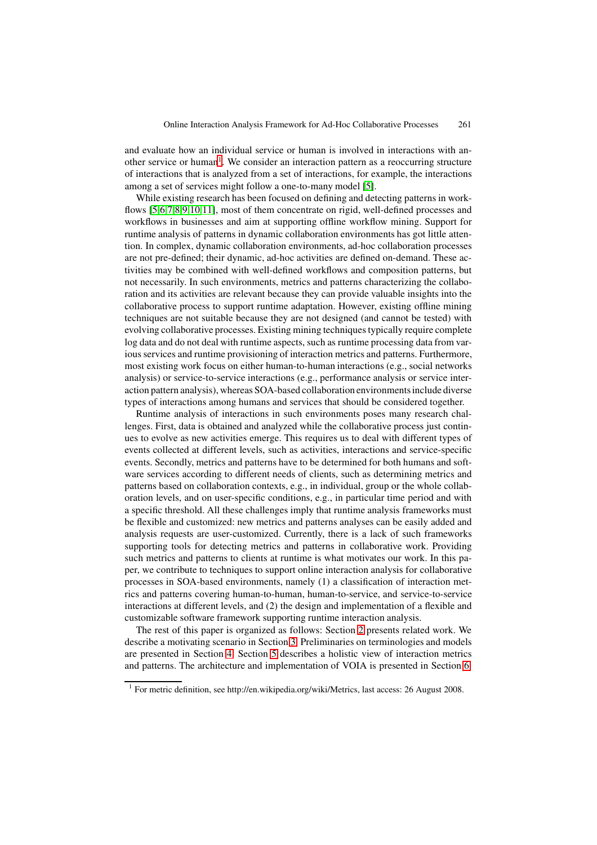and evaluate how an individual service or human is involved in interactions with another service or human<sup>1</sup>. We consider an interaction pattern as a reoccurring structure of interactions that is analyzed from a set of interactions, for example, the interactions among a set of services might follow a one-to-many model [5].

While existing research has been focused on defining and detecting patterns in work-flows [5,6,7,8,9,10,11][, m](#page-1-0)ost of them concentrate on rigid, well-defined processes and workflows in businesses and aim at supporting offline workflow mining. Support for runtime analysis of patterns in dynamic collaboration envir[onm](#page-17-1)ents has got little attention. In complex, dynamic collaboration environments, ad-hoc collaboration processes are no[t p](#page-17-1)[re](#page-17-2)[-](#page-17-3)[de](#page-17-4)[fi](#page-17-5)[ned](#page-17-6)[; th](#page-17-7)eir dynamic, ad-hoc activities are defined on-demand. These activities may be combined with well-defined workflows and composition patterns, but not necessarily. In such environments, metrics and patterns characterizing the collaboration and its activities are relevant because they can provide valuable insights into the collaborative process to support runtime adaptation. However, existing offline mining techniques are not suitable because they are not designed (and cannot be tested) with evolving collaborative processes. Existing mining techniques typically require complete log data and do not deal with runtime aspects, such as runtime processing data from various services and runtime provisioning of interaction metrics and patterns. Furthermore, most existing work focus on either human-to-human interactions (e.g., social networks analysis) or service-to-service interactions (e.g., performance analysis or service interaction pattern analysis), whereas SOA-based collaboration environments include diverse types of interactions among humans and services that should be considered together.

Runtime analysis of interactions in such environments poses many research challenges. First, data is obtained and analyzed while the collaborative process just continues to evolve as new activities emerge. This requires us to deal with different types of events collected at different levels, such as activities, interactions and service-specific events. Secondly, metrics and patterns have to be determined for both humans and software services according to different needs of clients, such as determining metrics and patterns based on collaboration contexts, e.g., in individual, group or the whole collaboration levels, and on user-specific conditions, e.g., in particular time period and with a specific threshold. All these challenges imply that runtime analysis frameworks must be flexible and customized: new metrics and patterns analyses can be easily added and analysis requests are user-customized. Currently, there is a lack of such frameworks supporting tools for detecting metrics and patterns in collaborative work. Providing such metrics and patterns to clients at runtime is what motivates our work. In this paper, we contribute to techniques to support online interaction analysis for collaborative processes in SOA-based environments, namely (1) a classification of interaction metrics and patterns covering human-to-human, human-to-service, and service-to-service interactions at different levels, and (2) the design and implementation of a flexible and customizable software framework supporting runtime interaction analysis.

The rest of this paper is organized as follows: Section 2 presents related work. We describe a motivating scenario in Section 3. Preliminaries on terminologies and models are presented in Section 4. Section 5 describes a holistic view of interaction metrics and patterns. The architecture and implementation of VOIA is presented in Section 6.

<span id="page-1-0"></span><sup>&</sup>lt;sup>1</sup> For metric definition, see http://en.wikiped[ia.](#page-3-0)org/wiki/Metrics, last access: 26 August 2008.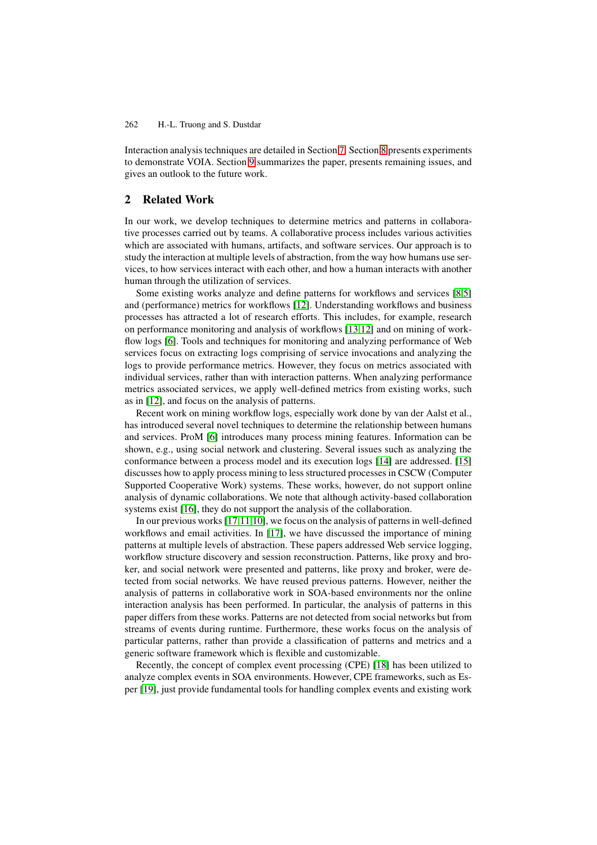Interaction analysis techniques are detailed in Section 7. Section 8 presents experiments to demonstrate VOIA. Section 9 summarizes the paper, presents remaining issues, and gives an outlook to the future work.

# **2 Related Work**

In our work, we develop techniques to determine metrics and patterns in collaborative processes carried out by teams. A collaborative process includes various activities which are associated with humans, artifacts, and software services. Our approach is to study the interaction at multiple levels of abstraction, from the way how humans use services, to how services interact with each other, and how a human interacts with another human through the utilization of services.

Some existing works analyze and define patterns for workflows and services [8,5] and (performance) metrics for workflows [12]. Understanding workflows and business processes has attracted a lot of research efforts. This includes, for example, research on performance monitoring and analysis of workflows [13,12] and on mining of workflow logs [6]. Tools and techniques for monitoring and analyzing performance of [W](#page-17-4)[eb](#page-17-1) services focus on extracting logs compris[ing](#page-17-8) of service invocations and analyzing the logs to provide performance metrics. However, they focus on metrics associated with individual services, rather than with interaction pattern[s. W](#page-17-9)[he](#page-17-8)n analyzing performance metrics as[so](#page-17-2)ciated services, we apply well-defined metrics from existing works, such as in [12], and focus on the analysis of patterns.

Recent work on mining workflow logs, especially work done by van der Aalst et al., has introduced several novel techniques to determine the relationship between humans and services. ProM [6] introduces many process mining features. Information can be show[n, e](#page-17-8).g., using social network and clustering. Several issues such as analyzing the conformance between a process model and its execution logs [14] are addressed. [15] discusses how to apply process mining to less structured processes in CSCW (Computer Supported Cooperat[ive](#page-17-2) Work) systems. These works, however, do not support online analysis of dynamic collaborations. We note that although activity-based collaboration systems exist [16], they do not support the analysis of the colla[bor](#page-17-10)ation.

In our previous works [17,11,10], we focus on the analysis of patterns in well-defined workflows and email activities. In [17], we have discussed the importance of mining patterns at multiple levels of abstraction. These papers addressed Web service logging, workflow stru[ctur](#page-17-11)e discovery and session reconstruction. Patterns, like proxy and broker, and social network [wer](#page-17-12)[e p](#page-17-7)[rese](#page-17-6)nted and patterns, like proxy and broker, were detected from social networks. We h[ave](#page-17-12) reused previous patterns. However, neither the analysis of patterns in collaborative work in SOA-based environments nor the online interaction analysis has been performed. In particular, the analysis of patterns in this paper differs from these works. Patterns are not detected from social networks but from streams of events during runtime. Furthermore, these works focus on the analysis of particular patterns, rather than provide a classification of patterns and metrics and a generic software framework which is flexible and customizable.

Recently, the concept of complex event processing (CPE) [18] has been utilized to analyze complex events in SOA environments. However, CPE frameworks, such as Esper [19], just provide fundamental tools for handling complex events and existing work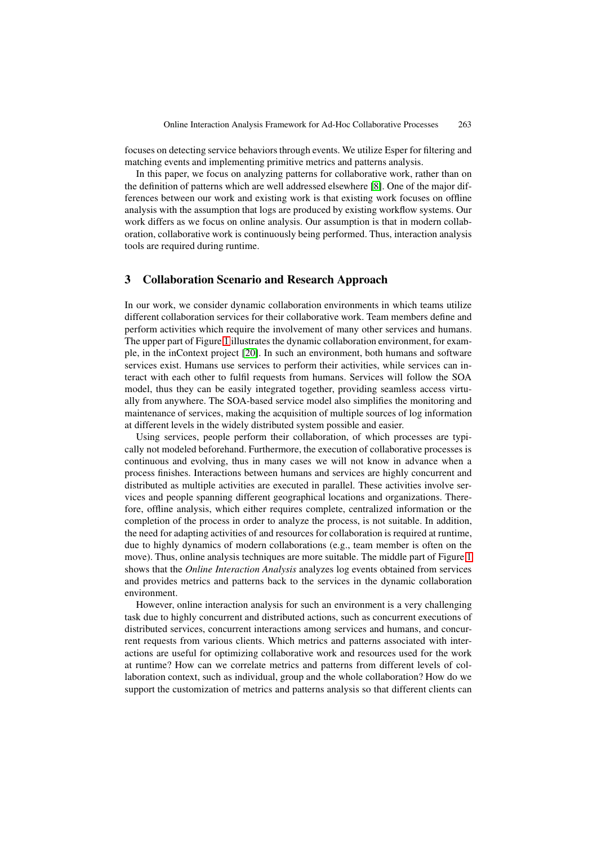focuses on detecting service behaviors through events. We utilize Esper for filtering and matching events and implementing primitive metrics and patterns analysis.

In this paper, we focus on analyzing patterns for collaborative work, rather than on the definition of patterns which are well addressed elsewhere [8]. One of the major differences between our work and existing work is that existing work focuses on offline analysis with the assumption that logs are produced by existing workflow systems. Our work differs as we focus on online analysis. Our assumption is that in modern collaboration, collaborative work is continuously being performed. [Th](#page-17-4)us, interaction analysis tools are required during runtime.

### **3 Collaboration Scenario and Research Approach**

<span id="page-3-0"></span>In our work, we consider dynamic collaboration environments in which teams utilize different collaboration services for their collaborative work. Team members define and perform activities which require the involvement of many other services and humans. The upper part of Figure 1 illustrates the dynamic collaboration environment, for example, in the inContext project [20]. In such an environment, both humans and software services exist. Humans use services to perform their activities, while services can interact with each other to fulfil requests from humans. Services will follow the SOA model, thus they can b[e e](#page-4-0)asily integrated together, providing seamless access virtually from anywhere. The SO[A-ba](#page-17-13)sed service model also simplifies the monitoring and maintenance of services, making the acquisition of multiple sources of log information at different levels in the widely distributed system possible and easier.

Using services, people perform their collaboration, of which processes are typically not modeled beforehand. Furthermore, the execution of collaborative processes is continuous and evolving, thus in many cases we will not know in advance when a process finishes. Interactions between humans and services are highly concurrent and distributed as multiple activities are executed in parallel. These activities involve services and people spanning different geographical locations and organizations. Therefore, offline analysis, which either requires complete, centralized information or the completion of the process in order to analyze the process, is not suitable. In addition, the need for adapting activities of and resources for collaboration is required at runtime, due to highly dynamics of modern collaborations (e.g., team member is often on the move). Thus, online analysis techniques are more suitable. The middle part of Figure 1 shows that the *Online Interaction Analysis* analyzes log events obtained from services and provides metrics and patterns back to the services in the dynamic collaboration environment.

However, online interaction analysis for such an environment is a very challengi[ng](#page-4-0) task due to highly concurrent and distributed actions, such as concurrent executions of distributed services, concurrent interactions among services and humans, and concurrent requests from various clients. Which metrics and patterns associated with interactions are useful for optimizing collaborative work and resources used for the work at runtime? How can we correlate metrics and patterns from different levels of collaboration context, such as individual, group and the whole collaboration? How do we support the customization of metrics and patterns analysis so that different clients can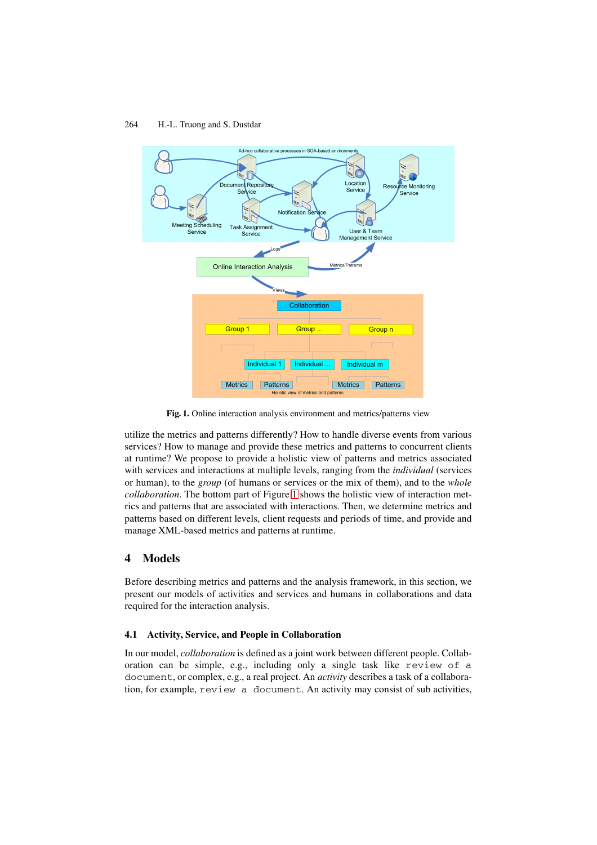

<span id="page-4-0"></span>**Fig. 1.** Online interaction analysis environment and metrics/patterns view

utilize the metrics and patterns differently? How to handle diverse events from various services? How to manage and provide these metrics and patterns to concurrent clients at runtime? We propose to provide a holistic view of patterns and metrics associated with services and interactions at multiple levels, ranging from the *individual* (services or human), to the *group* (of humans or services or the mix of them), and to the *whole collaboration*. The bottom part of Figure 1 shows the holistic view of interaction metrics and patterns that are associated with interactions. Then, we determine metrics and patterns based on different levels, client requests and periods of time, and provide and manage XML-based metrics and patterns at runtime.

### **4 Models**

Before describing metrics and patterns and the analysis framework, in this section, we present our models of activities and services and humans in collaborations and data required for the interaction analysis.

### **4.1 Activity, Service, and People in Collaboration**

In our model, *collaboration* is defined as a joint work between different people. Collaboration can be simple, e.g., including only a single task like review of a document, or complex, e.g., a real project. An *activity* describes a task of a collaboration, for example, review a document. An activity may consist of sub activities,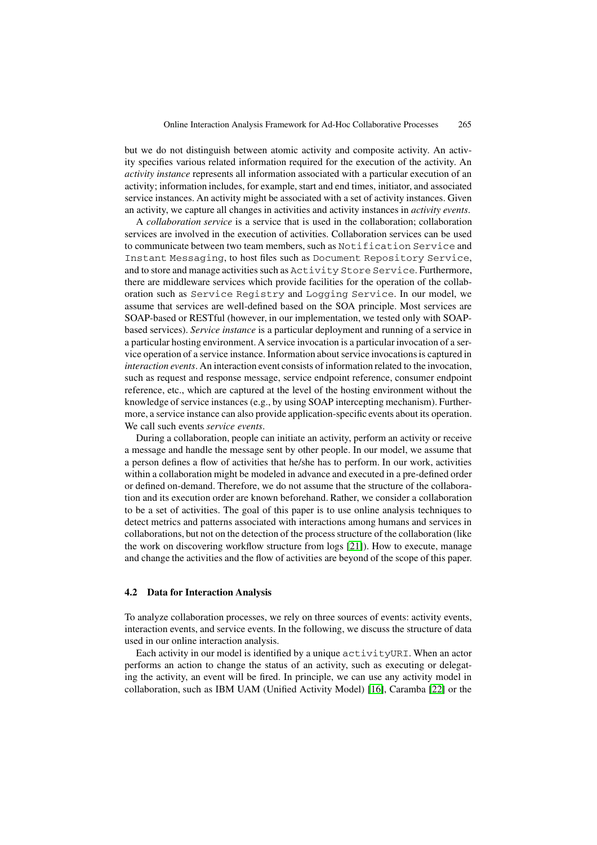but we do not distinguish between atomic activity and composite activity. An activity specifies various related information required for the execution of the activity. An *activity instance* represents all information associated with a particular execution of an activity; information includes, for example, start and end times, initiator, and associated service instances. An activity might be associated with a set of activity instances. Given an activity, we capture all changes in activities and activity instances in *activity events*.

A *collaboration service* is a service that is used in the collaboration; collaboration services are involved in the execution of activities. Collaboration services can be used to communicate between two team members, such as Notification Service and Instant Messaging, to host files such as Document Repository Service, and to store and manage activities such as Activity Store Service. Furthermore, there are middleware services which provide facilities for the operation of the collaboration such as Service Registry and Logging Service. In our model, we assume that services are well-defined based on the SOA principle. Most services are SOAP-based or RESTful (however, in our implementation, we tested only with SOAPbased services). *Service instance* is a particular deployment and running of a service in a particular hosting environment. A service invocation is a particular invocation of a service operation of a service instance. Information about service invocations is captured in *interaction events*. An interaction event consists of information related to the invocation, such as request and response message, service endpoint reference, consumer endpoint reference, etc., which are captured at the level of the hosting environment without the knowledge of service instances (e.g., by using SOAP intercepting mechanism). Furthermore, a service instance can also provide application-specific events about its operation. We call such events *service events*.

During a collaboration, people can initiate an activity, perform an activity or receive a message and handle the message sent by other people. In our model, we assume that a person defines a flow of activities that he/she has to perform. In our work, activities within a collaboration might be modeled in advance and executed in a pre-defined order or defined on-demand. Therefore, we do not assume that the structure of the collaboration and its execution order are known beforehand. Rather, we consider a collaboration to be a set of activities. The goal of this paper is to use online analysis techniques to detect metrics and patterns associated with interactions among humans and services in collaborations, but not on the detection of the process structure of the collaboration (like the work on discovering workflow structure from logs [21]). How to execute, manage and change the activities and the flow of activities are beyond of the scope of this paper.

#### **4.2 Data for Interaction Analysis**

To analyze collaboration processes, we rely on three sources of events: activity events, interaction events, and service events. In the following, we discuss the structure of data used in our online interaction analysis.

Each activity in our model is identified by a unique activityURI. When an actor performs an action to change the status of an activity, such as executing or delegating the activity, an event will be fired. In principle, we can use any activity model in collaboration, such as IBM UAM (Unified Activity Model) [16], Caramba [22] or the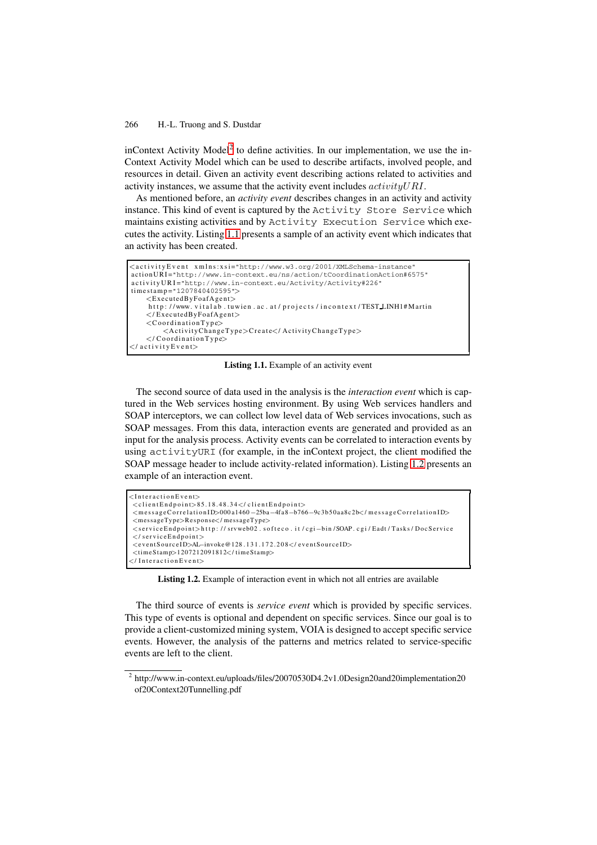inContext Activity Model<sup>2</sup> to define activities. In our implementation, we use the in-Context Activity Model which can be used to describe artifacts, involved people, and resources in detail. Given an activity event describing actions related to activities and activity instances, we assume that the activity event includes *activityURI*.

As mentioned before, [an](#page-6-0) *activity event* describes changes in an activity and activity instance. This kind of event is captured by the Activity Store Service which maintains existing activities and by Activity Execution Service which executes the activity. Listing 1.1 presents a sample of an activity event which indicates that an activity has been created.

```
<activityEvent xmlns:xsi="http://www.w3.org/2001/XMLSchema-instance"
actionURI="http://www.in-context.eu/ns/action/tCoordinationAction#6575"
activityURI="http://www.in-context.eu/Activity/Activity#226"
timestamp="1207840402595">
    <ExecutedByFoafAgent>
    http://www.vitalab.tuwien.ac.at/projects/incontext/TEST_LINH1#Martin
   </ ExecutedByFoafAgent>
   <CoordinationType>
       <ActivityChangeType>Create</ ActivityChangeType>
    </ CoordinationType>
</ activityEvent>
```
**Listing 1.1.** Example of an activity event

The second source of data used in the analysis is the *interaction event* which is captured in the Web services hosting environment. By using Web services handlers and SOAP interceptors, we can collect low level data of Web services invocations, such as SOAP messages. From this data, interaction events are generated and provided as an input for the analysis process. Activity events can be correlated to interaction events by using activityURI (for example, in the inContext project, the client modified the SOAP message header to include activity-related information). Listing 1.2 presents an example of an interaction event.

```
<InteractionEvent>
<clientEndpoint>85.18.48.34</ clientEndpoint>
<messageCorrelationID>000a1460 −25ba−4fa8−b766−9c3b50aa8c2b</ messageCorrelationID>
<messageType>Response</ messageType>
<serviceEndpoint>http:// srvweb02.softeco.it/cgi-bin/SOAP.cgi/Eadt/Tasks/DocService
</ serviceEndpoint>
<eventSourceID>AL−invoke@128 . 131.172.208</ eventSourceID>
<timeStamp>1207212091812</ timeStamp>
</ InteractionEvent>
```
#### **Listing 1.2.** Example of interaction event in which not all entries are available

The third source of events is *service event* which is provided by specific services. This type of events is optional and dependent on specific services. Since our goal is to provide a client-customized mining system, VOIA is designed to accept specific service events. However, the analysis of the patterns and metrics related to service-specific events are left to the client.

<span id="page-6-0"></span> $^2$ http://www.in-context.eu/uploads/files/20070530D4.2v1.0Design20and20implementation20 of20Context20Tunnelling.pdf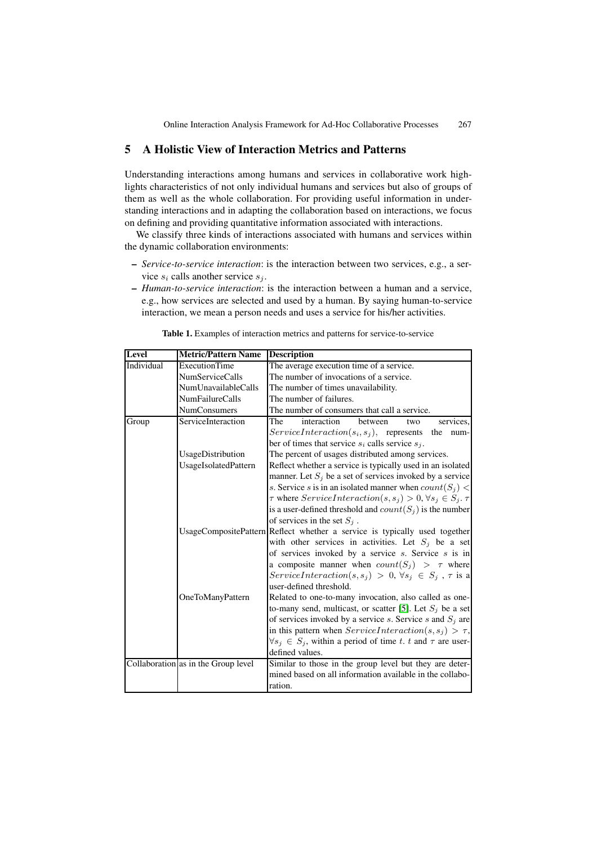# **5 A Holistic View of Interaction Metrics and Patterns**

<span id="page-7-1"></span>Understanding interactions among humans and services in collaborative work highlights characteristics of not only individual humans and services but also of groups of them as well as the whole collaboration. For providing useful information in understanding interactions and in adapting the collaboration based on interactions, we focus on defining and providing quantitative information associated with interactions.

We classify three kinds of interactions associated with humans and services within the dynamic collaboration environments:

- **–** *Service-to-service interaction*: is the interaction between two services, e.g., a service  $s_i$  calls another service  $s_j$ .
- **–** *Human-to-service interaction*: is the interaction between a human and a service, e.g., how services are selected and used by a human. By saying human-to-service interaction, we mean a person needs and uses a service for his/her activities.

| <b>Level</b> | <b>Metric/Pattern Name</b>          | <b>Description</b>                                                              |  |  |  |
|--------------|-------------------------------------|---------------------------------------------------------------------------------|--|--|--|
| Individual   | <b>ExecutionTime</b>                | The average execution time of a service.                                        |  |  |  |
|              | NumServiceCalls                     | The number of invocations of a service.                                         |  |  |  |
|              | NumUnavailableCalls                 | The number of times unavailability.                                             |  |  |  |
|              | NumFailureCalls                     | The number of failures.                                                         |  |  |  |
|              | <b>NumConsumers</b>                 | The number of consumers that call a service.                                    |  |  |  |
| Group        | ServiceInteraction                  | The<br>interaction<br>services.<br>between<br>two                               |  |  |  |
|              |                                     | $ServiceInteraction(s_i, s_j)$ , represents<br>the<br>num-                      |  |  |  |
|              |                                     | ber of times that service $s_i$ calls service $s_i$ .                           |  |  |  |
|              | UsageDistribution                   | The percent of usages distributed among services.                               |  |  |  |
|              | UsageIsolatedPattern                | Reflect whether a service is typically used in an isolated                      |  |  |  |
|              |                                     | manner. Let $S_j$ be a set of services invoked by a service                     |  |  |  |
|              |                                     | s. Service s is in an isolated manner when $count(S_j)$                         |  |  |  |
|              |                                     | $\tau$ where $ServiceInteraction(s, s_j) > 0, \forall s_j \in S_j$ .            |  |  |  |
|              |                                     | is a user-defined threshold and $count(S_j)$ is the number                      |  |  |  |
|              |                                     | of services in the set $S_i$ .                                                  |  |  |  |
|              |                                     | UsageCompositePattern Reflect whether a service is typically used together      |  |  |  |
|              |                                     | with other services in activities. Let $S_j$ be a set                           |  |  |  |
|              |                                     | of services invoked by a service $s$ . Service $s$ is in                        |  |  |  |
|              |                                     | a composite manner when $count(S_i) > \tau$ where                               |  |  |  |
|              |                                     | ServiceInteraction(s, s <sub>i</sub> ) > 0, $\forall s_j \in S_j$ , $\tau$ is a |  |  |  |
|              |                                     | user-defined threshold.                                                         |  |  |  |
|              | OneToManyPattern                    | Related to one-to-many invocation, also called as one-                          |  |  |  |
|              |                                     | to-many send, multicast, or scatter [5]. Let $S_j$ be a set                     |  |  |  |
|              |                                     | of services invoked by a service s. Service s and $S_j$ are                     |  |  |  |
|              |                                     | in this pattern when $ServiceInteraction(s, s_j) > \tau$ ,                      |  |  |  |
|              |                                     | $\forall s_j \in S_j$ , within a period of time t. t and $\tau$ are user-       |  |  |  |
|              |                                     | defined values.                                                                 |  |  |  |
|              | Collaboration as in the Group level | Similar to those in the group level but they are deter-                         |  |  |  |
|              |                                     | mined based on all information available in the collabo-                        |  |  |  |
|              |                                     | ration.                                                                         |  |  |  |

<span id="page-7-0"></span>**Table 1.** Examples of interaction metrics and patterns for service-to-service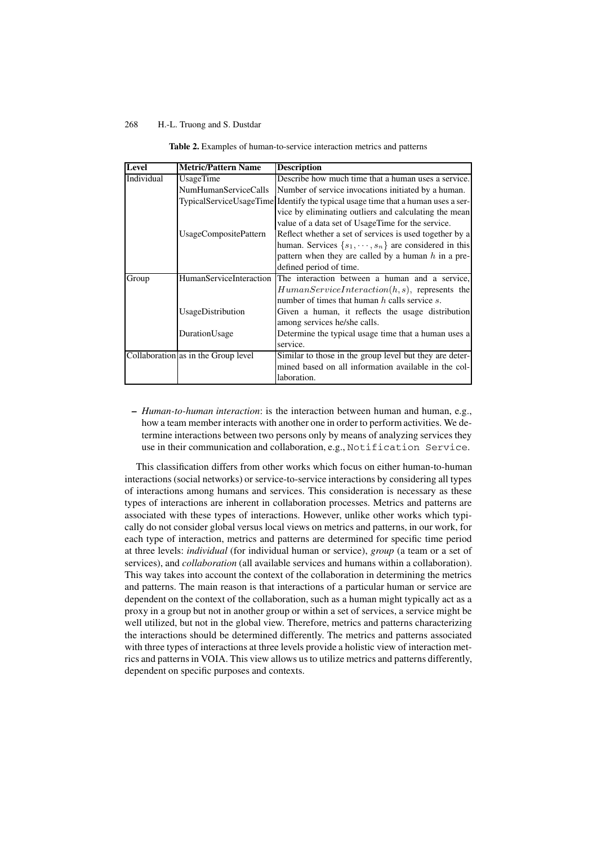<span id="page-8-0"></span>

|  |  |  |  |  | <b>Table 2.</b> Examples of human-to-service interaction metrics and patterns |  |
|--|--|--|--|--|-------------------------------------------------------------------------------|--|
|--|--|--|--|--|-------------------------------------------------------------------------------|--|

| Level      | <b>Metric/Pattern Name</b>          | <b>Description</b>                                                               |
|------------|-------------------------------------|----------------------------------------------------------------------------------|
| Individual | UsageTime                           | Describe how much time that a human uses a service.                              |
|            | NumHumanServiceCalls                | Number of service invocations initiated by a human.                              |
|            |                                     | TypicalServiceUsageTime Identify the typical usage time that a human uses a ser- |
|            |                                     | vice by eliminating outliers and calculating the mean                            |
|            |                                     | value of a data set of UsageTime for the service.                                |
|            | UsageCompositePattern               | Reflect whether a set of services is used together by a                          |
|            |                                     | human. Services $\{s_1, \dots, s_n\}$ are considered in this                     |
|            |                                     | pattern when they are called by a human $h$ in a pre-                            |
|            |                                     | defined period of time.                                                          |
| Group      | HumanServiceInteraction             | The interaction between a human and a service,                                   |
|            |                                     | $Human ServiceInteraction(h, s)$ , represents the                                |
|            |                                     | number of times that human $h$ calls service $s$ .                               |
|            | UsageDistribution                   | Given a human, it reflects the usage distribution                                |
|            |                                     | among services he/she calls.                                                     |
|            | DurationUsage                       | Determine the typical usage time that a human uses a                             |
|            |                                     | service.                                                                         |
|            | Collaboration as in the Group level | Similar to those in the group level but they are deter-                          |
|            |                                     | mined based on all information available in the col-                             |
|            |                                     | laboration.                                                                      |

**–** *Human-to-human interaction*: is the interaction between human and human, e.g., how a team member interacts with another one in order to perform activities. We determine interactions between two persons only by means of analyzing services they use in their communication and collaboration, e.g., Notification Service.

This classification differs from other works which focus on either human-to-human interactions (social networks) or service-to-service interactions by considering all types of interactions among humans and services. This consideration is necessary as these types of interactions are inherent in collaboration processes. Metrics and patterns are associated with these types of interactions. However, unlike other works which typically do not consider global versus local views on metrics and patterns, in our work, for each type of interaction, metrics and patterns are determined for specific time period at three levels: *individual* (for individual human or service), *group* (a team or a set of services), and *collaboration* (all available services and humans within a collaboration). This way takes into account the context of the collaboration in determining the metrics and patterns. The main reason is that interactions of a particular human or service are dependent on the context of the collaboration, such as a human might typically act as a proxy in a group but not in another group or within a set of services, a service might be well utilized, but not in the global view. Therefore, metrics and patterns characterizing the interactions should be determined differently. The metrics and patterns associated with three types of interactions at three levels provide a holistic view of interaction metrics and patterns in VOIA. This view allows us to utilize metrics and patterns differently, dependent on specific purposes and contexts.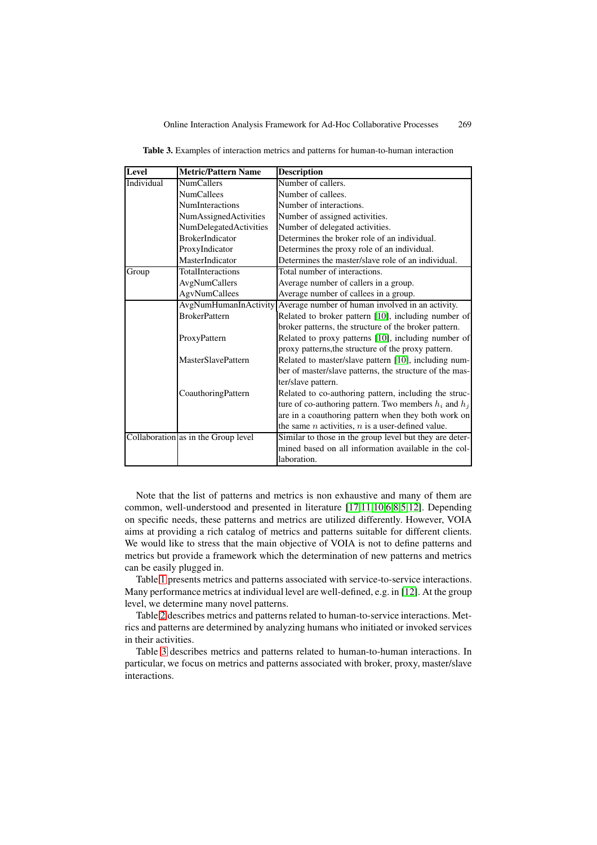| Level      | <b>Metric/Pattern Name</b>          | <b>Description</b>                                        |
|------------|-------------------------------------|-----------------------------------------------------------|
| Individual | <b>NumCallers</b>                   | Number of callers.                                        |
|            | <b>NumCallees</b>                   | Number of callees.                                        |
|            | <b>NumInteractions</b>              | Number of interactions.                                   |
|            | NumAssignedActivities               | Number of assigned activities.                            |
|            | NumDelegatedActivities              | Number of delegated activities.                           |
|            | <b>BrokerIndicator</b>              | Determines the broker role of an individual.              |
|            | ProxyIndicator                      | Determines the proxy role of an individual.               |
|            | MasterIndicator                     | Determines the master/slave role of an individual.        |
| Group      | <b>TotalInteractions</b>            | Total number of interactions.                             |
|            | AvgNumCallers                       | Average number of callers in a group.                     |
|            | <b>AgvNumCallees</b>                | Average number of callees in a group.                     |
|            | AvgNumHumanInActivity               | Average number of human involved in an activity.          |
|            | <b>BrokerPattern</b>                | Related to broker pattern [10], including number of       |
|            |                                     | broker patterns, the structure of the broker pattern.     |
|            | ProxyPattern                        | Related to proxy patterns [10], including number of       |
|            |                                     | proxy patterns, the structure of the proxy pattern.       |
|            | <b>MasterSlavePattern</b>           | Related to master/slave pattern [10], including num-      |
|            |                                     | ber of master/slave patterns, the structure of the mas-   |
|            |                                     | ter/slave pattern.                                        |
|            | CoauthoringPattern                  | Related to co-authoring pattern, including the struc-     |
|            |                                     | ture of co-authoring pattern. Two members $h_i$ and $h_j$ |
|            |                                     | are in a coauthoring pattern when they both work on       |
|            |                                     | the same $n$ activities, $n$ is a user-defined value.     |
|            | Collaboration as in the Group level | Similar to those in the group level but they are deter-   |
|            |                                     | mined based on all information available in the col-      |
|            |                                     | laboration.                                               |

**Table 3.** Examples of interaction metrics and patterns for human-to-human interaction

Note that the list of patterns and metrics is non exhaustive and many of them are common, well-understood and presented in literature [17,11,10,6,8,5,12]. Depending on specific needs, these patterns and metrics are utilized differently. However, VOIA aims at providing a rich catalog of metrics and patterns suitable for different clients. We would like to stress that the main objective of VOIA is not to define patterns and metrics but provide a framework which the determinat[ion](#page-17-12) [of](#page-17-7) [new](#page-17-6)[pa](#page-17-4)[tt](#page-17-1)[erns](#page-17-8) and metrics can be easily plugged in.

Table 1 presents metrics and patterns associated with service-to-service interactions. Many performance metrics at individual level are well-defined, e.g. in [12]. At the group level, we determine many novel patterns.

Table 2 describes metrics and patterns related to human-to-service interactions. Metrics and [pa](#page-7-0)tterns are determined by analyzing humans who initiated or invoked services in their activities.

Table 3 describes metrics and patterns related to human-to-human interactions. In particul[ar,](#page-8-0) we focus on metrics and patterns associated with broker, proxy, master/slave interactions.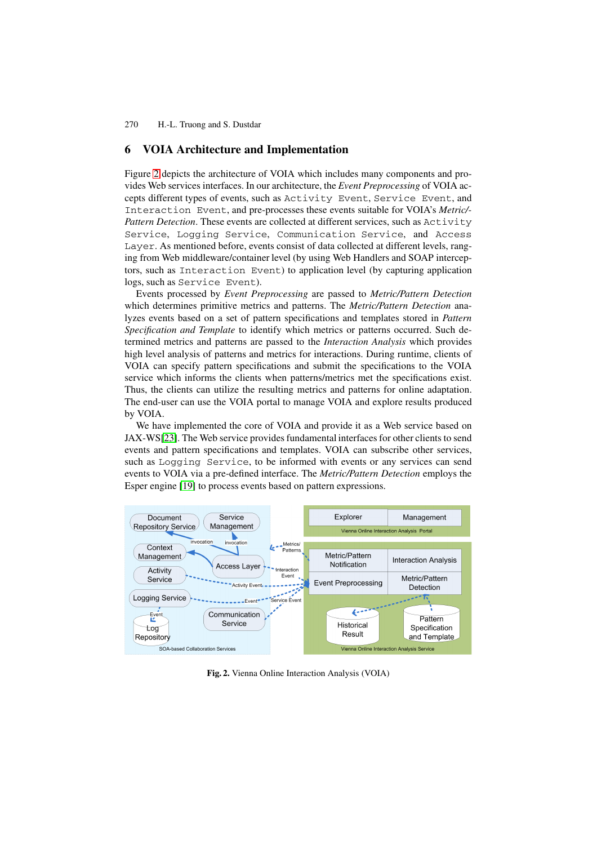# **6 VOIA Architecture and Implementation**

Figure 2 depicts the architecture of VOIA which includes many components and provides Web services interfaces. In our architecture, the *Event Preprocessing* of VOIA accepts different types of events, such as Activity Event, Service Event, and Interaction Event, and pre-processes these events suitable for VOIA's *Metric/- Patter[n D](#page-10-0)etection*. These events are collected at different services, such as Activity Service, Logging Service, Communication Service, and Access Layer. As mentioned before, events consist of data collected at different levels, ranging from Web middleware/container level (by using Web Handlers and SOAP interceptors, such as Interaction Event) to application level (by capturing application logs, such as Service Event).

Events processed by *Event Preprocessing* are passed to *Metric/Pattern Detection* which determines primitive metrics and patterns. The *Metric/Pattern Detection* analyzes events based on a set of pattern specifications and templates stored in *Pattern Specification and Template* to identify which metrics or patterns occurred. Such determined metrics and patterns are passed to the *Interaction Analysis* which provides high level analysis of patterns and metrics for interactions. During runtime, clients of VOIA can specify pattern specifications and submit the specifications to the VOIA service which informs the clients when patterns/metrics met the specifications exist. Thus, the clients can utilize the resulting metrics and patterns for online adaptation. The end-user can use the VOIA portal to manage VOIA and explore results produced by VOIA.

We have implemented the core of VOIA and provide it as a Web service based on JAX-WS[23]. The Web service provides fundamental interfaces for other clients to send events and pattern specifications and templates. VOIA can subscribe other services, such as Logging Service, to be informed with events or any services can send events to VOIA via a pre-defined interface. The *Metric/Pattern Detection* employs the Esper en[gine](#page-17-14) [19] to process events based on pattern expressions.



<span id="page-10-0"></span>**Fig. 2.** Vienna Online Interaction Analysis (VOIA)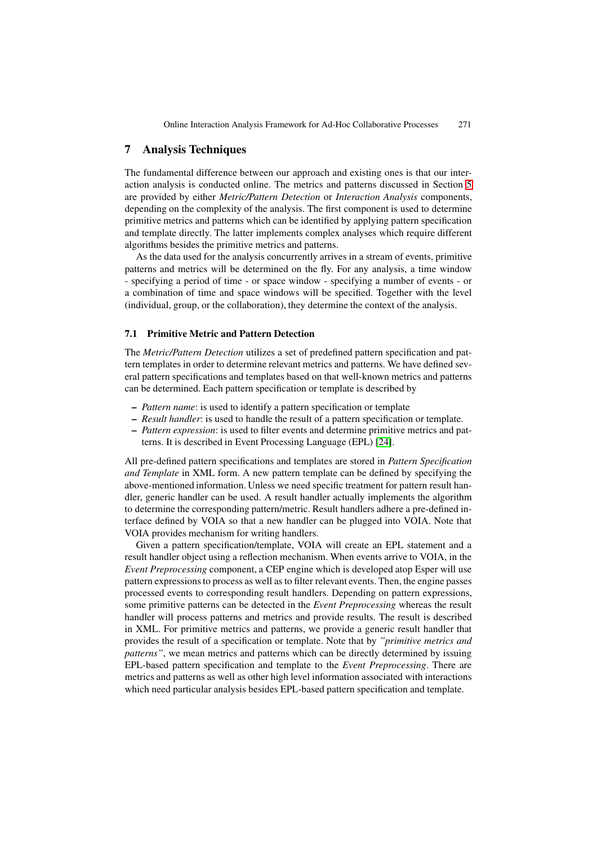# **7 Analysis Techniques**

The fundamental difference between our approach and existing ones is that our interaction analysis is conducted online. The metrics and patterns discussed in Section 5 are provided by either *Metric/Pattern Detection* or *Interaction Analysis* components, depending on the complexity of the analysis. The first component is used to determine primitive metrics and patterns which can be identified by applying pattern specification and template directly. The latter implements complex analyses which require differe[nt](#page-7-1) algorithms besides the primitive metrics and patterns.

As the data used for the analysis concurrently arrives in a stream of events, primitive patterns and metrics will be determined on the fly. For any analysis, a time window - specifying a period of time - or space window - specifying a number of events - or a combination of time and space windows will be specified. Together with the level (individual, group, or the collaboration), they determine the context of the analysis.

### **7.1 Primitive Metric and Pattern Detection**

The *Metric/Pattern Detection* utilizes a set of predefined pattern specification and pattern templates in order to determine relevant metrics and patterns. We have defined several pattern specifications and templates based on that well-known metrics and patterns can be determined. Each pattern specification or template is described by

- **–** *Pattern name*: is used to identify a pattern specification or template
- **–** *Result handler*: is used to handle the result of a pattern specification or template.
- **–** *Pattern expression*: is used to filter events and determine primitive metrics and patterns. It is described in Event Processing Language (EPL) [24].

All pre-defined pattern specifications and templates are stored in *Pattern Specification and Template* in XML form. A new pattern template can be defined by specifying the above-mentioned information. Unless we need specific treatment for pattern result handler, generic handler can be used. A result handler actually i[mple](#page-17-15)ments the algorithm to determine the corresponding pattern/metric. Result handlers adhere a pre-defined interface defined by VOIA so that a new handler can be plugged into VOIA. Note that VOIA provides mechanism for writing handlers.

Given a pattern specification/template, VOIA will create an EPL statement and a result handler object using a reflection mechanism. When events arrive to VOIA, in the *Event Preprocessing* component, a CEP engine which is developed atop Esper will use pattern expressions to process as well as to filter relevant events. Then, the engine passes processed events to corresponding result handlers. Depending on pattern expressions, some primitive patterns can be detected in the *Event Preprocessing* whereas the result handler will process patterns and metrics and provide results. The result is described in XML. For primitive metrics and patterns, we provide a generic result handler that provides the result of a specification or template. Note that by *"primitive metrics and patterns"*, we mean metrics and patterns which can be directly determined by issuing EPL-based pattern specification and template to the *Event Preprocessing*. There are metrics and patterns as well as other high level information associated with interactions which need particular analysis besides EPL-based pattern specification and template.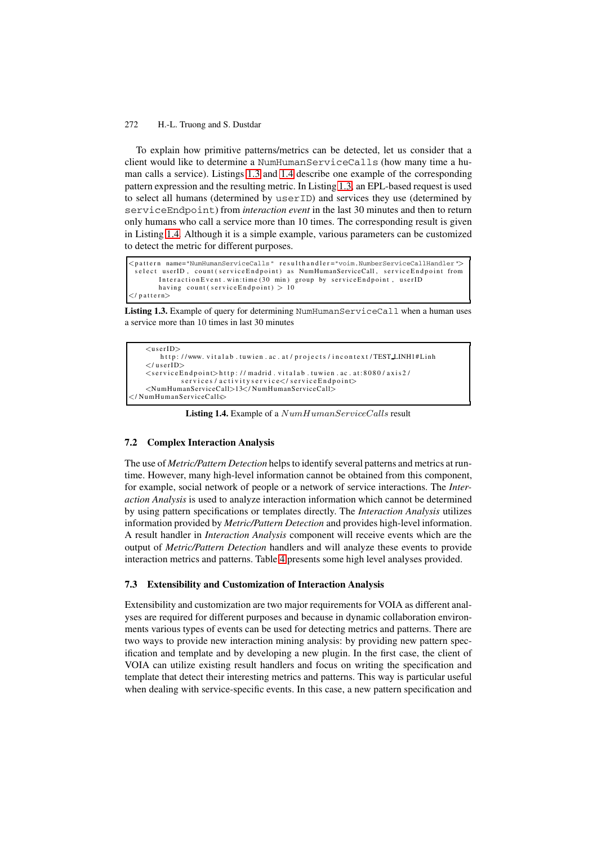To explain how primitive patterns/metrics can be detected, let us consider that a client would like to determine a NumHumanServiceCalls (how many time a human calls a service). Listings 1.3 and 1.4 describe one example of the corresponding pattern expression and the resulting metric. In Listing 1.3, an EPL-based request is used to select all humans (determined by userID) and services they use (determined by serviceEndpoint) from *interaction event* in the last 30 minutes and then to return only humans who call a servi[ce m](#page-12-0)ore [than](#page-12-1) 10 times. The corresponding result is given in Listing 1.4. Although it is a simple example, vari[ous p](#page-12-0)arameters can be customized to detect the metric for different purposes.

*<*pa t t er n name="NumHumanServiceCalls" resulthandler="voim.NumberServiceCallHandler"*>* select userID, count (serviceEndpoint) as NumHumanServiceCall, serviceEndpoint from Interaction Event. win:time (30 min) group by service Endpoint, userID h[aving](#page-12-1) count ( serviceE ndpoint) *>* 10 *<*/ pattern*>*

<span id="page-12-0"></span>**Listing 1.3.** Example of query for determining NumHumanServiceCall when a human uses a service more than 10 times in last 30 minutes

```
<userID>
       http://www.vitalab.tuwien.ac.at/projects/incontext/TEST_LINH1#Linh
   </ userID>
   <serviceEndpoint>http: // madrid . vitalab . tuwien . ac . at:8080 / axis2 /
            services / activityservice</ serviceEndpoint>
   <NumHumanServiceCall>13</ NumHumanServiceCall>
</ NumHumanServiceCalls>
```
Listing 1.4. Example of a  $NumHumanServiceCalls$  result

### **7.2 Complex Interaction Analysis**

The use of *Metric/Pattern Detection* helps to identify several patterns and metrics at runtime. However, many high-level information cannot be obtained from this component, for example, social network of people or a network of service interactions. The *Interaction Analysis* is used to analyze interaction information which cannot be determined by using pattern specifications or templates directly. The *Interaction Analysis* utilizes information provided by *Metric/Pattern Detection* and provides high-level information. A result handler in *Interaction Analysis* component will receive events which are the output of *Metric/Pattern Detection* handlers and will analyze these events to provide interaction metrics and patterns. Table 4 presents some high level analyses provided.

### **7.3 Extensibility and Customization of Interaction Analysis**

Extensibility and customization are tw[o m](#page-13-0)ajor requirements for VOIA as different analyses are required for different purposes and because in dynamic collaboration environments various types of events can be used for detecting metrics and patterns. There are two ways to provide new interaction mining analysis: by providing new pattern specification and template and by developing a new plugin. In the first case, the client of VOIA can utilize existing result handlers and focus on writing the specification and template that detect their interesting metrics and patterns. This way is particular useful when dealing with service-specific events. In this case, a new pattern specification and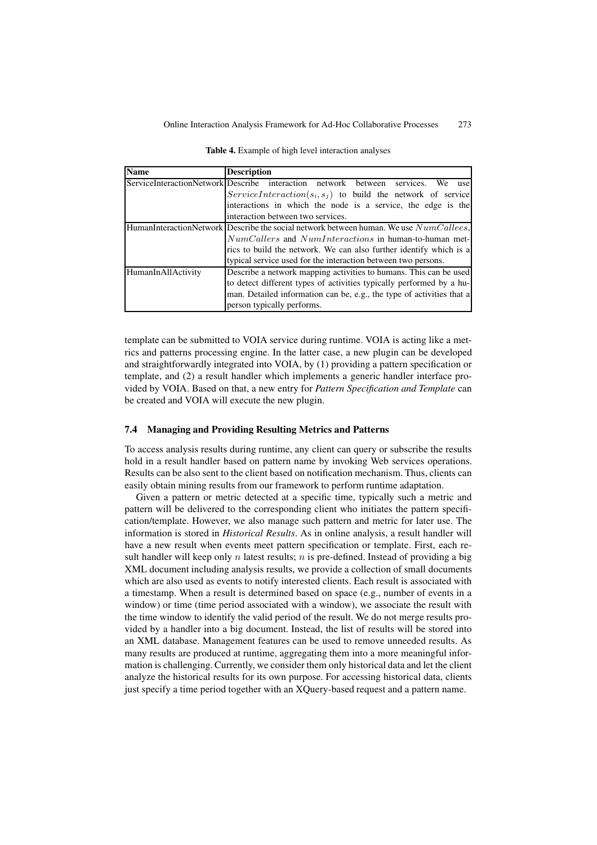| <b>Name</b>        | <b>Description</b>                                                                       |
|--------------------|------------------------------------------------------------------------------------------|
|                    | ServiceInteractionNetworkIDescribe interaction network between<br>We<br>services.<br>use |
|                    | $ServiceInteraction(s_i, s_i)$ to build the network of service                           |
|                    | interactions in which the node is a service, the edge is the                             |
|                    | interaction between two services.                                                        |
|                    | HumanInteractionNetwork Describe the social network between human. We use NumCallees,    |
|                    | NumCallers and NumInteractions in human-to-human met-                                    |
|                    | rics to build the network. We can also further identify which is a                       |
|                    | typical service used for the interaction between two persons.                            |
| HumanInAllActivity | Describe a network mapping activities to humans. This can be used                        |
|                    | to detect different types of activities typically performed by a hu-                     |
|                    | man. Detailed information can be, e.g., the type of activities that a                    |
|                    | person typically performs.                                                               |

<span id="page-13-0"></span>**Table 4.** Example of high level interaction analyses

template can be submitted to VOIA service during runtime. VOIA is acting like a metrics and patterns processing engine. In the latter case, a new plugin can be developed and straightforwardly integrated into VOIA, by (1) providing a pattern specification or template, and (2) a result handler which implements a generic handler interface provided by VOIA. Based on that, a new entry for *Pattern Specification and Template* can be created and VOIA will execute the new plugin.

#### **7.4 Managing and Providing Resulting Metrics and Patterns**

To access analysis results during runtime, any client can query or subscribe the results hold in a result handler based on pattern name by invoking Web services operations. Results can be also sent to the client based on notification mechanism. Thus, clients can easily obtain mining results from our framework to perform runtime adaptation.

Given a pattern or metric detected at a specific time, typically such a metric and pattern will be delivered to the corresponding client who initiates the pattern specification/template. However, we also manage such pattern and metric for later use. The information is stored in *Historical Results*. As in online analysis, a result handler will have a new result when events meet pattern specification or template. First, each result handler will keep only *n* latest results; *n* is pre-defined. Instead of providing a big XML document including analysis results, we provide a collection of small documents which are also used as events to notify interested clients. Each result is associated with a timestamp. When a result is determined based on space (e.g., number of events in a window) or time (time period associated with a window), we associate the result with the time window to identify the valid period of the result. We do not merge results provided by a handler into a big document. Instead, the list of results will be stored into an XML database. Management features can be used to remove unneeded results. As many results are produced at runtime, aggregating them into a more meaningful information is challenging. Currently, we consider them only historical data and let the client analyze the historical results for its own purpose. For accessing historical data, clients just specify a time period together with an XQuery-based request and a pattern name.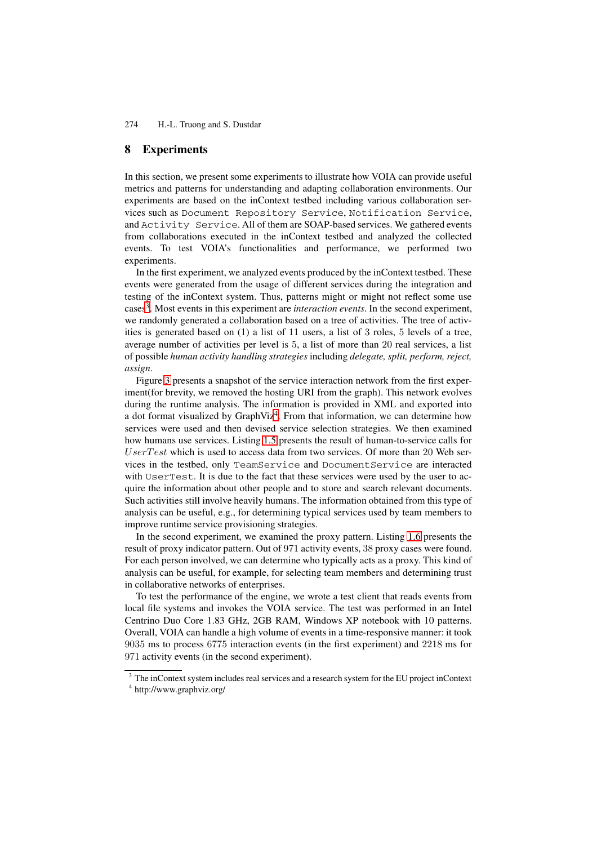### **8 Experiments**

In this section, we present some experiments to illustrate how VOIA can provide useful metrics and patterns for understanding and adapting collaboration environments. Our experiments are based on the inContext testbed including various collaboration services such as Document Repository Service, Notification Service, and Activity Service. All of them are SOAP-based services. We gathered events from collaborations executed in the inContext testbed and analyzed the collected events. To test VOIA's functionalities and performance, we performed two experiments.

In the first experiment, we analyzed events produced by the inContext testbed. These events were generated from the usage of different services during the integration and testing of the inContext system. Thus, patterns might or might not reflect some use cases3. Most events in this experiment are *interaction events*. In the second experiment, we randomly generated a collaboration based on a tree of activities. The tree of activities is generated based on (1) a list of 11 users, a list of 3 roles, 5 levels of a tree, average number of activities per level is 5, a list of more than 20 real services, a list of p[oss](#page-14-0)ible *human activity handling strategies* including *delegate, split, perform, reject, assign*.

Figure 3 presents a snapshot of the service interaction network from the first experiment(for brevity, we removed the hosting URI from the graph). This network evolves during the runtime analysis. The information is provided in XML and exported into a dot format visualized by GraphViz<sup>4</sup>. From that information, we can determine how services [we](#page-15-0)re used and then devised service selection strategies. We then examined how humans use services. Listing 1.5 presents the result of human-to-service calls for *UserT est* which is used to access data from two services. Of more than 20 Web services in the testbed, only TeamSe[rv](#page-14-1)ice and DocumentService are interacted with UserTest. It is due to the fact that these services were used by the user to acquire the information about other [peo](#page-15-1)ple and to store and search relevant documents. Such activities still involve heavily humans. The information obtained from this type of analysis can be useful, e.g., for determining typical services used by team members to improve runtime service provisioning strategies.

In the second experiment, we examined the proxy pattern. Listing 1.6 presents the result of proxy indicator pattern. Out of 971 activity events, 38 proxy cases were found. For each person involved, we can determine who typically acts as a proxy. This kind of analysis can be useful, for example, for selecting team members and determining trust in collaborative networks of enterprises.

To test the performance of the engine, we wrote a test client that reads events from local file systems and invokes the VOIA service. The test was performed in an Intel Centrino Duo Core 1.83 GHz, 2GB RAM, Windows XP notebook with 10 patterns. Overall, VOIA can handle a high volume of events in a time-responsive manner: it took 9035 ms to process 6775 interaction events (in the first experiment) and 2218 ms for 971 activity events (in the second experiment).

<span id="page-14-1"></span><span id="page-14-0"></span><sup>&</sup>lt;sup>3</sup> The inContext system includes real services and a research system for the EU project inContext <sup>4</sup> http://www.graphviz.org/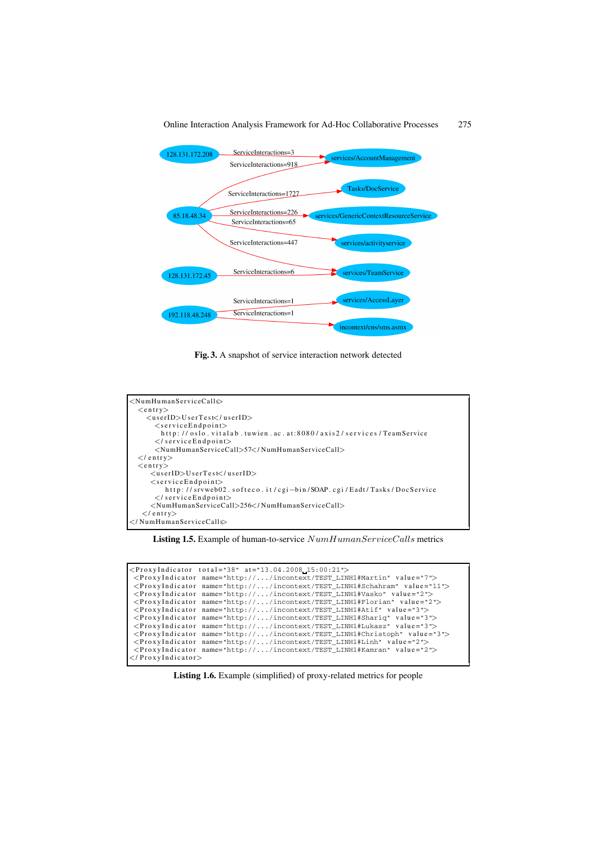

Online Interaction Analysis Framework for Ad-Hoc Collaborative Processes 275

<span id="page-15-0"></span>**Fig. 3.** A snapshot of service interaction network detected

<span id="page-15-1"></span>

Listing 1.5. Example of human-to-service  $NumHumanServiceCalls$  metrics

|                            | $\langle$ ProxyIndicator total="38" at="13.04.2008.15:00:21">                             |
|----------------------------|-------------------------------------------------------------------------------------------|
|                            | <proxyindicator name="http:///incontext/TEST LINH1#Martin" value="7"></proxyindicator>    |
|                            | <proxyindicator name="http:///incontext/TEST LINH1#Schahram" value="11"></proxyindicator> |
|                            | <proxyindicator name="http:///incontext/TEST_LINH1#Vasko" value="2"></proxyindicator>     |
|                            | <proxyindicator name="http:///incontext/TEST_LINH1#Florian" value="2"></proxyindicator>   |
|                            | $\langle$ ProxyIndicator name="http:///incontext/TEST LINH1#Atif" value="3">              |
|                            | <proxyindicator name="http:///incontext/TEST_LINH1#Shariq" value="3"></proxyindicator>    |
|                            | <proxyindicator name="http:///incontext/TEST_LINH1#Lukasz" value="3"></proxyindicator>    |
|                            | <proxyindicator name="http:///incontext/TEST_LINH1#Christoph" value="3"></proxyindicator> |
|                            | <proxyindicator name="http:///incontext/TEST_LINH1#Linh" value="2"></proxyindicator>      |
|                            | $\langle$ ProxyIndicator name="http:///incontext/TEST LINH1#Kamran" value="2">            |
| $\langle$ /ProxyIndicator> |                                                                                           |

**Listing 1.6.** Example (simplified) of proxy-related metrics for people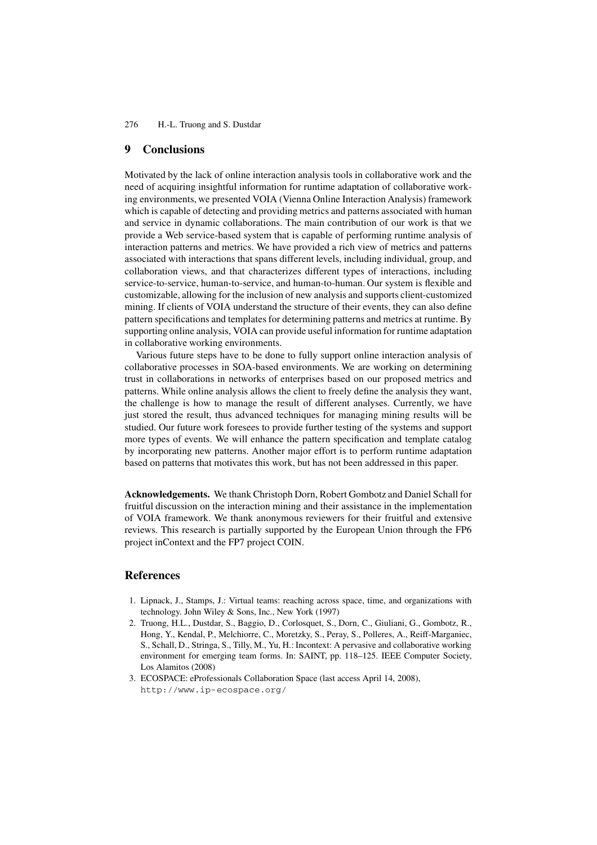# **9 Conclusions**

Motivated by the lack of online interaction analysis tools in collaborative work and the need of acquiring insightful information for runtime adaptation of collaborative working environments, we presented VOIA (Vienna Online Interaction Analysis) framework which is capable of detecting and providing metrics and patterns associated with human and service in dynamic collaborations. The main contribution of our work is that we provide a Web service-based system that is capable of performing runtime analysis of interaction patterns and metrics. We have provided a rich view of metrics and patterns associated with interactions that spans different levels, including individual, group, and collaboration views, and that characterizes different types of interactions, including service-to-service, human-to-service, and human-to-human. Our system is flexible and customizable, allowing for the inclusion of new analysis and supports client-customized mining. If clients of VOIA understand the structure of their events, they can also define pattern specifications and templates for determining patterns and metrics at runtime. By supporting online analysis, VOIA can provide useful information for runtime adaptation in collaborative working environments.

Various future steps have to be done to fully support online interaction analysis of collaborative processes in SOA-based environments. We are working on determining trust in collaborations in networks of enterprises based on our proposed metrics and patterns. While online analysis allows the client to freely define the analysis they want, the challenge is how to manage the result of different analyses. Currently, we have just stored the result, thus advanced techniques for managing mining results will be studied. Our future work foresees to provide further testing of the systems and support more types of events. We will enhance the pattern specification and template catalog by incorporating new patterns. Another major effort is to perform runtime adaptation based on patterns that motivates this work, but has not been addressed in this paper.

**Acknowledgements.** We thank Christoph Dorn, Robert Gombotz and Daniel Schall for fruitful discussion on the interaction mining and their assistance in the implementation of VOIA framework. We thank anonymous reviewers for their fruitful and extensive reviews. This research is partially supported by the European Union through the FP6 project inContext and the FP7 project COIN.

### **References**

- 1. Lipnack, J., Stamps, J.: Virtual teams: reaching across space, time, and organizations with technology. John Wiley & Sons, Inc., New York (1997)
- <span id="page-16-0"></span>2. Truong, H.L., Dustdar, S., Baggio, D., Corlosquet, S., Dorn, C., Giuliani, G., Gombotz, R., Hong, Y., Kendal, P., Melchiorre, C., Moretzky, S., Peray, S., Polleres, A., Reiff-Marganiec, S., Schall, D., Stringa, S., Tilly, M., Yu, H.: Incontext: A pervasive and collaborative working environment for emerging team forms. In: SAINT, pp. 118–125. IEEE Computer Society, Los Alamitos (2008)
- <span id="page-16-2"></span><span id="page-16-1"></span>3. ECOSPACE: eProfessionals Collaboration Space (last access April 14, 2008), http://www.ip-ecospace.org/